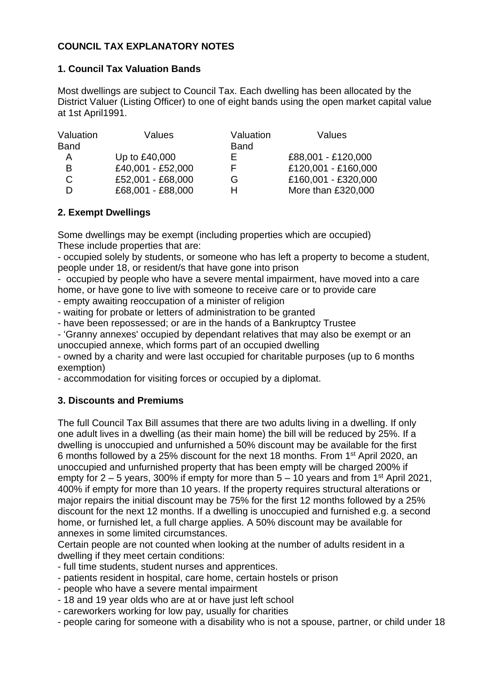# **COUNCIL TAX EXPLANATORY NOTES**

### **1. Council Tax Valuation Bands**

Most dwellings are subject to Council Tax. Each dwelling has been allocated by the District Valuer (Listing Officer) to one of eight bands using the open market capital value at 1st April1991.

| Valuation   | Values            | Valuation   | Values              |
|-------------|-------------------|-------------|---------------------|
| <b>Band</b> |                   | <b>Band</b> |                     |
| А           | Up to £40,000     |             | £88,001 - £120,000  |
| B           | £40,001 - £52,000 | F.          | £120,001 - £160,000 |
| C           | £52,001 - £68,000 | G           | £160,001 - £320,000 |
| D           | £68,001 - £88,000 | н           | More than £320,000  |

### **2. Exempt Dwellings**

Some dwellings may be exempt (including properties which are occupied) These include properties that are:

- occupied solely by students, or someone who has left a property to become a student, people under 18, or resident/s that have gone into prison

- occupied by people who have a severe mental impairment, have moved into a care home, or have gone to live with someone to receive care or to provide care

- empty awaiting reoccupation of a minister of religion

- waiting for probate or letters of administration to be granted

- have been repossessed; or are in the hands of a Bankruptcy Trustee

- 'Granny annexes' occupied by dependant relatives that may also be exempt or an unoccupied annexe, which forms part of an occupied dwelling

- owned by a charity and were last occupied for charitable purposes (up to 6 months exemption)

- accommodation for visiting forces or occupied by a diplomat.

## **3. Discounts and Premiums**

The full Council Tax Bill assumes that there are two adults living in a dwelling. If only one adult lives in a dwelling (as their main home) the bill will be reduced by 25%. If a dwelling is unoccupied and unfurnished a 50% discount may be available for the first 6 months followed by a 25% discount for the next 18 months. From 1st April 2020, an unoccupied and unfurnished property that has been empty will be charged 200% if empty for  $2 - 5$  years, 300% if empty for more than  $5 - 10$  years and from 1<sup>st</sup> April 2021, 400% if empty for more than 10 years. If the property requires structural alterations or major repairs the initial discount may be 75% for the first 12 months followed by a 25% discount for the next 12 months. If a dwelling is unoccupied and furnished e.g. a second home, or furnished let, a full charge applies. A 50% discount may be available for annexes in some limited circumstances.

Certain people are not counted when looking at the number of adults resident in a dwelling if they meet certain conditions:

- full time students, student nurses and apprentices.

- patients resident in hospital, care home, certain hostels or prison
- people who have a severe mental impairment
- 18 and 19 year olds who are at or have just left school
- careworkers working for low pay, usually for charities
- people caring for someone with a disability who is not a spouse, partner, or child under 18